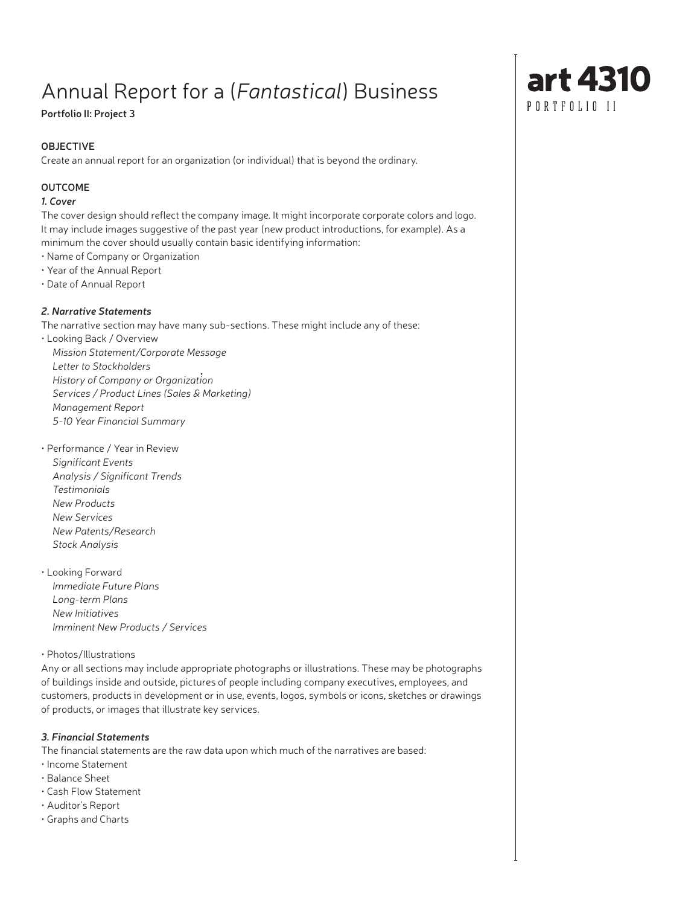# Annual Report for a (*Fantastical*) Business

# **Portfolio II: Project 3**

# **OBJECTIVE**

Create an annual report for an organization (or individual) that is beyond the ordinary.

## **OUTCOME**

## *1. Cover*

The cover design should reflect the company image. It might incorporate corporate colors and logo. It may include images suggestive of the past year (new product introductions, for example). As a minimum the cover should usually contain basic identifying information:

- Name of Company or Organization
- Year of the Annual Report
- Date of Annual Report

# *2. Narrative Statements*

The narrative section may have many sub-sections. These might include any of these:

• Looking Back / Overview *Mission Statement/Corporate Message Letter to Stockholders History of Company or Organization* • *Services / Product Lines (Sales & Marketing) Management Report 5-10 Year Financial Summary*

- Performance / Year in Review *Significant Events Analysis / Significant Trends*
- *Testimonials New Products New Services New Patents/Research Stock Analysis*
- Looking Forward *Immediate Future Plans Long-term Plans New Initiatives Imminent New Products / Services*

## • Photos/Illustrations

Any or all sections may include appropriate photographs or illustrations. These may be photographs of buildings inside and outside, pictures of people including company executives, employees, and customers, products in development or in use, events, logos, symbols or icons, sketches or drawings of products, or images that illustrate key services.

## *3. Financial Statements*

The financial statements are the raw data upon which much of the narratives are based:

- Income Statement
- Balance Sheet
- Cash Flow Statement
- Auditor's Report
- Graphs and Charts

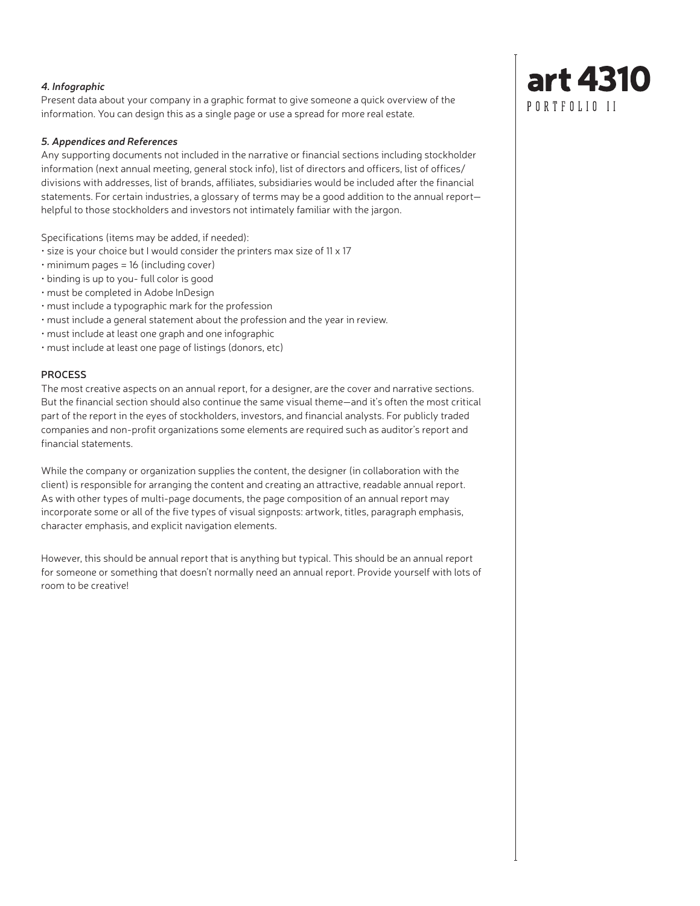#### *4. Infographic*

Present data about your company in a graphic format to give someone a quick overview of the information. You can design this as a single page or use a spread for more real estate.

#### *5. Appendices and References*

Any supporting documents not included in the narrative or financial sections including stockholder information (next annual meeting, general stock info), list of directors and officers, list of offices/ divisions with addresses, list of brands, affiliates, subsidiaries would be included after the financial statements. For certain industries, a glossary of terms may be a good addition to the annual report helpful to those stockholders and investors not intimately familiar with the jargon.

Specifications (items may be added, if needed):

- size is your choice but I would consider the printers max size of 11 x 17
- minimum pages = 16 (including cover)
- binding is up to you- full color is good
- must be completed in Adobe InDesign
- must include a typographic mark for the profession
- must include a general statement about the profession and the year in review.
- must include at least one graph and one infographic
- must include at least one page of listings (donors, etc)

#### **PROCESS**

The most creative aspects on an annual report, for a designer, are the cover and narrative sections. But the financial section should also continue the same visual theme—and it's often the most critical part of the report in the eyes of stockholders, investors, and financial analysts. For publicly traded companies and non-profit organizations some elements are required such as auditor's report and financial statements.

While the company or organization supplies the content, the designer (in collaboration with the client) is responsible for arranging the content and creating an attractive, readable annual report. As with other types of multi-page documents, the page composition of an annual report may incorporate some or all of the five types of visual signposts: artwork, titles, paragraph emphasis, character emphasis, and explicit navigation elements.

However, this should be annual report that is anything but typical. This should be an annual report for someone or something that doesn't normally need an annual report. Provide yourself with lots of room to be creative!

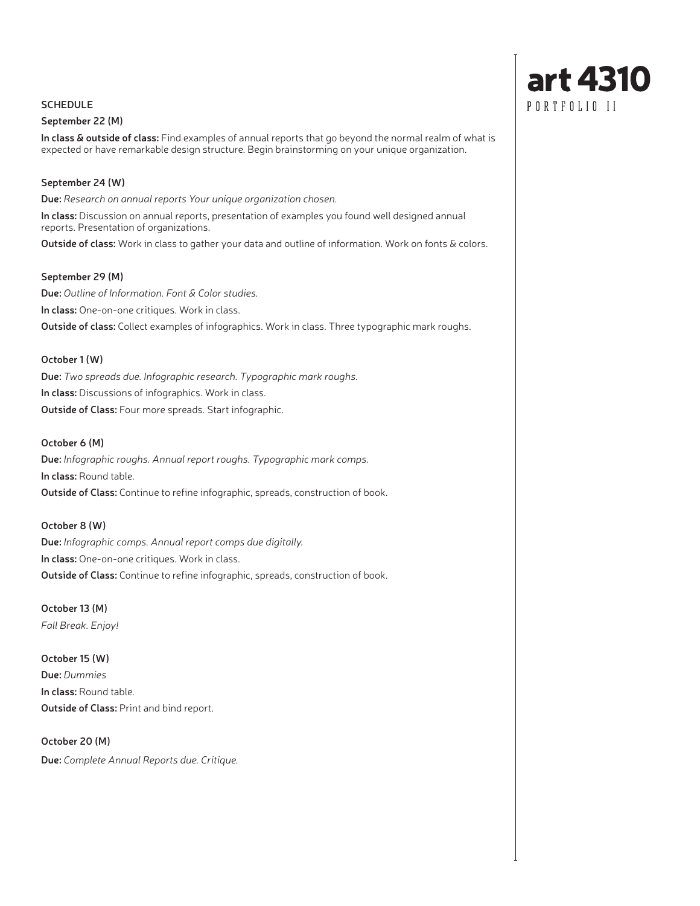### **SCHEDULE**

#### **September 22 (M)**

**In class & outside of class:** Find examples of annual reports that go beyond the normal realm of what is expected or have remarkable design structure. Begin brainstorming on your unique organization.

#### **September 24 (W)**

**Due:** *Research on annual reports Your unique organization chosen.*

**In class:** Discussion on annual reports, presentation of examples you found well designed annual reports. Presentation of organizations.

**Outside of class:** Work in class to gather your data and outline of information. Work on fonts & colors.

#### **September 29 (M)**

**Due:** *Outline of Information. Font & Color studies.*  **In class:** One-on-one critiques. Work in class. **Outside of class:** Collect examples of infographics. Work in class. Three typographic mark roughs.

#### **October 1 (W)**

**Due:** *Two spreads due. Infographic research. Typographic mark roughs.*  **In class:** Discussions of infographics. Work in class. **Outside of Class:** Four more spreads. Start infographic.

#### **October 6 (M)**

**Due:** *Infographic roughs. Annual report roughs. Typographic mark comps.* **In class:** Round table. **Outside of Class:** Continue to refine infographic, spreads, construction of book.

### **October 8 (W)**

**Due:** *Infographic comps. Annual report comps due digitally.* **In class:** One-on-one critiques. Work in class. **Outside of Class:** Continue to refine infographic, spreads, construction of book.

**October 13 (M)** *Fall Break. Enjoy!*

**October 15 (W) Due:** *Dummies* **In class:** Round table. **Outside of Class:** Print and bind report.

**October 20 (M) Due:** *Complete Annual Reports due. Critique.*